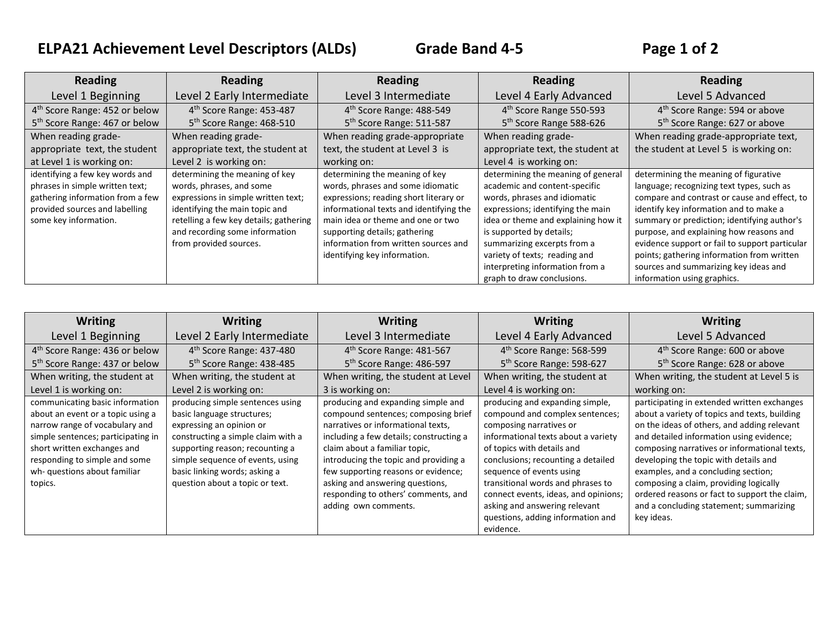# **ELPA21 Achievement Level Descriptors (ALDs) Grade Band 4-5 Page 1 of 2**

| <b>Reading</b>                                                                                                                                                    | <b>Reading</b>                                                                                                                                                                                                                            | <b>Reading</b>                                                                                                                                                                                                                                                                                         | <b>Reading</b>                                                                                                                                                                                                                                                                                                                               | Reading                                                                                                                                                                                                                                                                                                                                                                                                                                        |
|-------------------------------------------------------------------------------------------------------------------------------------------------------------------|-------------------------------------------------------------------------------------------------------------------------------------------------------------------------------------------------------------------------------------------|--------------------------------------------------------------------------------------------------------------------------------------------------------------------------------------------------------------------------------------------------------------------------------------------------------|----------------------------------------------------------------------------------------------------------------------------------------------------------------------------------------------------------------------------------------------------------------------------------------------------------------------------------------------|------------------------------------------------------------------------------------------------------------------------------------------------------------------------------------------------------------------------------------------------------------------------------------------------------------------------------------------------------------------------------------------------------------------------------------------------|
| Level 1 Beginning                                                                                                                                                 | Level 2 Early Intermediate                                                                                                                                                                                                                | Level 3 Intermediate                                                                                                                                                                                                                                                                                   | Level 4 Early Advanced                                                                                                                                                                                                                                                                                                                       | Level 5 Advanced                                                                                                                                                                                                                                                                                                                                                                                                                               |
| 4 <sup>th</sup> Score Range: 452 or below                                                                                                                         | 4 <sup>th</sup> Score Range: 453-487                                                                                                                                                                                                      | 4 <sup>th</sup> Score Range: 488-549                                                                                                                                                                                                                                                                   | 4 <sup>th</sup> Score Range 550-593                                                                                                                                                                                                                                                                                                          | 4 <sup>th</sup> Score Range: 594 or above                                                                                                                                                                                                                                                                                                                                                                                                      |
| 5 <sup>th</sup> Score Range: 467 or below                                                                                                                         | 5 <sup>th</sup> Score Range: 468-510                                                                                                                                                                                                      | 5 <sup>th</sup> Score Range: 511-587                                                                                                                                                                                                                                                                   | 5 <sup>th</sup> Score Range 588-626                                                                                                                                                                                                                                                                                                          | 5 <sup>th</sup> Score Range: 627 or above                                                                                                                                                                                                                                                                                                                                                                                                      |
| When reading grade-                                                                                                                                               | When reading grade-                                                                                                                                                                                                                       | When reading grade-appropriate                                                                                                                                                                                                                                                                         | When reading grade-                                                                                                                                                                                                                                                                                                                          | When reading grade-appropriate text,                                                                                                                                                                                                                                                                                                                                                                                                           |
| appropriate text, the student                                                                                                                                     | appropriate text, the student at                                                                                                                                                                                                          | text, the student at Level 3 is                                                                                                                                                                                                                                                                        | appropriate text, the student at                                                                                                                                                                                                                                                                                                             | the student at Level 5 is working on:                                                                                                                                                                                                                                                                                                                                                                                                          |
| at Level 1 is working on:                                                                                                                                         | Level 2 is working on:                                                                                                                                                                                                                    | working on:                                                                                                                                                                                                                                                                                            | Level 4 is working on:                                                                                                                                                                                                                                                                                                                       |                                                                                                                                                                                                                                                                                                                                                                                                                                                |
| identifying a few key words and<br>phrases in simple written text;<br>gathering information from a few<br>provided sources and labelling<br>some key information. | determining the meaning of key<br>words, phrases, and some<br>expressions in simple written text;<br>identifying the main topic and<br>retelling a few key details; gathering<br>and recording some information<br>from provided sources. | determining the meaning of key<br>words, phrases and some idiomatic<br>expressions; reading short literary or<br>informational texts and identifying the<br>main idea or theme and one or two<br>supporting details; gathering<br>information from written sources and<br>identifying key information. | determining the meaning of general<br>academic and content-specific<br>words, phrases and idiomatic<br>expressions; identifying the main<br>idea or theme and explaining how it<br>is supported by details;<br>summarizing excerpts from a<br>variety of texts; reading and<br>interpreting information from a<br>graph to draw conclusions. | determining the meaning of figurative<br>language; recognizing text types, such as<br>compare and contrast or cause and effect, to<br>identify key information and to make a<br>summary or prediction; identifying author's<br>purpose, and explaining how reasons and<br>evidence support or fail to support particular<br>points; gathering information from written<br>sources and summarizing key ideas and<br>information using graphics. |

| <b>Writing</b>                            | <b>Writing</b>                       | <b>Writing</b>                          | <b>Writing</b>                       | <b>Writing</b>                                |
|-------------------------------------------|--------------------------------------|-----------------------------------------|--------------------------------------|-----------------------------------------------|
| Level 1 Beginning                         | Level 2 Early Intermediate           | Level 3 Intermediate                    | Level 4 Early Advanced               | Level 5 Advanced                              |
| 4 <sup>th</sup> Score Range: 436 or below | 4 <sup>th</sup> Score Range: 437-480 | 4 <sup>th</sup> Score Range: 481-567    | 4 <sup>th</sup> Score Range: 568-599 | 4 <sup>th</sup> Score Range: 600 or above     |
| 5 <sup>th</sup> Score Range: 437 or below | 5 <sup>th</sup> Score Range: 438-485 | 5 <sup>th</sup> Score Range: 486-597    | 5 <sup>th</sup> Score Range: 598-627 | 5 <sup>th</sup> Score Range: 628 or above     |
| When writing, the student at              | When writing, the student at         | When writing, the student at Level      | When writing, the student at         | When writing, the student at Level 5 is       |
| Level 1 is working on:                    | Level 2 is working on:               | 3 is working on:                        | Level 4 is working on:               | working on:                                   |
| communicating basic information           | producing simple sentences using     | producing and expanding simple and      | producing and expanding simple,      | participating in extended written exchanges   |
| about an event or a topic using a         | basic language structures;           | compound sentences; composing brief     | compound and complex sentences;      | about a variety of topics and texts, building |
| narrow range of vocabulary and            | expressing an opinion or             | narratives or informational texts,      | composing narratives or              | on the ideas of others, and adding relevant   |
| simple sentences; participating in        | constructing a simple claim with a   | including a few details; constructing a | informational texts about a variety  | and detailed information using evidence;      |
| short written exchanges and               | supporting reason; recounting a      | claim about a familiar topic,           | of topics with details and           | composing narratives or informational texts,  |
| responding to simple and some             | simple sequence of events, using     | introducing the topic and providing a   | conclusions; recounting a detailed   | developing the topic with details and         |
| wh- questions about familiar              | basic linking words; asking a        | few supporting reasons or evidence;     | sequence of events using             | examples, and a concluding section;           |
| topics.                                   | question about a topic or text.      | asking and answering questions,         | transitional words and phrases to    | composing a claim, providing logically        |
|                                           |                                      | responding to others' comments, and     | connect events, ideas, and opinions; | ordered reasons or fact to support the claim, |
|                                           |                                      | adding own comments.                    | asking and answering relevant        | and a concluding statement; summarizing       |
|                                           |                                      |                                         | questions, adding information and    | key ideas.                                    |
|                                           |                                      |                                         | evidence.                            |                                               |